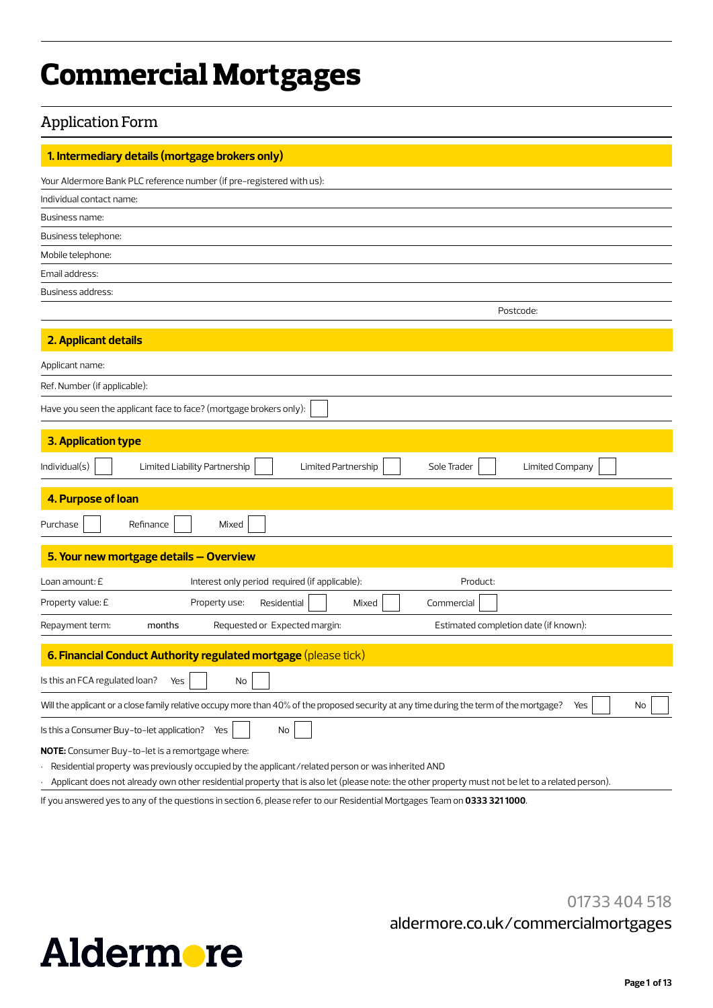# **Commercial Mortgages**

# Application Form

| 1. Intermediary details (mortgage brokers only)                                                                                                                                                                                                                                                            |
|------------------------------------------------------------------------------------------------------------------------------------------------------------------------------------------------------------------------------------------------------------------------------------------------------------|
| Your Aldermore Bank PLC reference number (if pre-registered with us):                                                                                                                                                                                                                                      |
| Individual contact name:                                                                                                                                                                                                                                                                                   |
| Business name:                                                                                                                                                                                                                                                                                             |
| Business telephone:                                                                                                                                                                                                                                                                                        |
| Mobile telephone:                                                                                                                                                                                                                                                                                          |
| Email address:                                                                                                                                                                                                                                                                                             |
| Business address:                                                                                                                                                                                                                                                                                          |
| Postcode:                                                                                                                                                                                                                                                                                                  |
| 2. Applicant details                                                                                                                                                                                                                                                                                       |
| Applicant name:                                                                                                                                                                                                                                                                                            |
| Ref. Number (if applicable):                                                                                                                                                                                                                                                                               |
| Have you seen the applicant face to face? (mortgage brokers only):                                                                                                                                                                                                                                         |
| <b>3. Application type</b>                                                                                                                                                                                                                                                                                 |
| Individual(s)<br>Limited Partnership<br><b>Limited Company</b><br>Limited Liability Partnership<br>Sole Trader                                                                                                                                                                                             |
| 4. Purpose of loan                                                                                                                                                                                                                                                                                         |
| Purchase<br>Refinance<br>Mixed                                                                                                                                                                                                                                                                             |
| 5. Your new mortgage details - Overview                                                                                                                                                                                                                                                                    |
| Interest only period required (if applicable):<br>Loan amount: E<br>Product:                                                                                                                                                                                                                               |
| Property value: £<br>Property use:<br>Residential<br>Mixed<br>Commercial                                                                                                                                                                                                                                   |
| Requested or Expected margin:<br>Estimated completion date (if known):<br>Repayment term:<br>months                                                                                                                                                                                                        |
| 6. Financial Conduct Authority regulated mortgage (please tick)                                                                                                                                                                                                                                            |
| Is this an FCA regulated loan?<br>Yes<br>No                                                                                                                                                                                                                                                                |
| Will the applicant or a close family relative occupy more than 40% of the proposed security at any time during the term of the mortgage?<br>Yes<br>No                                                                                                                                                      |
| Is this a Consumer Buy-to-let application? Yes<br>No                                                                                                                                                                                                                                                       |
| NOTE: Consumer Buy-to-let is a remortgage where:<br>Residential property was previously occupied by the applicant/related person or was inherited AND<br>Applicant does not already own other residential property that is also let (please note: the other property must not be let to a related person). |

If you answered yes to any of the questions in section 6, please refer to our Residential Mortgages Team on **0333 321 1000**.

01733 404 518 aldermore.co.uk/commercialmortgages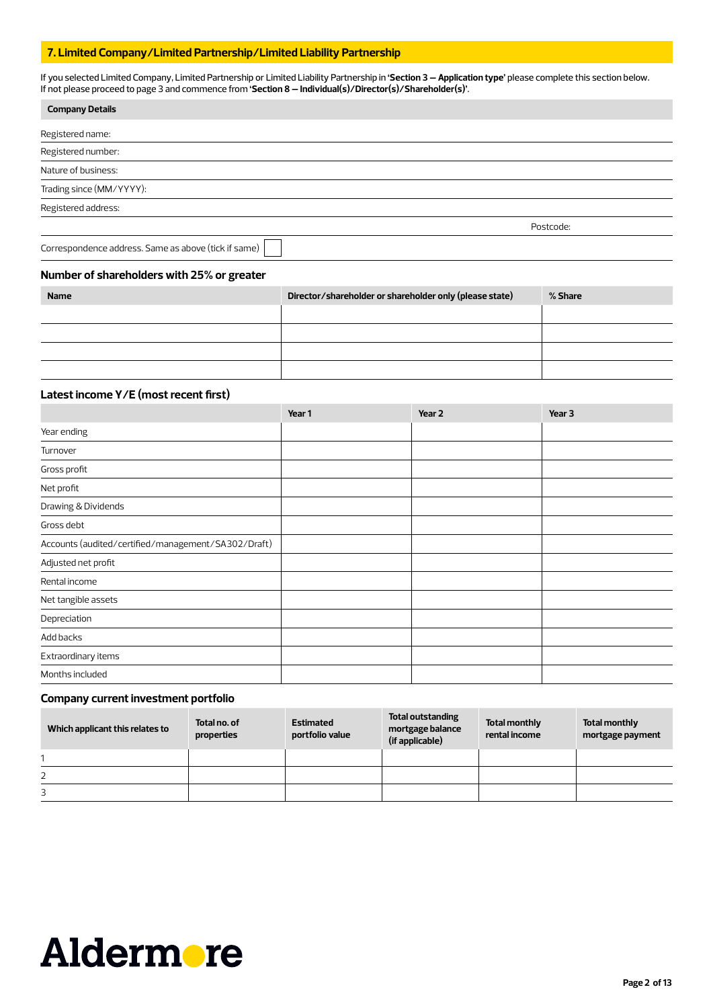# **7. Limited Company/Limited Partnership/Limited Liability Partnership**

If you selected Limited Company, Limited Partnership or Limited Liability Partnership in **'Section 3 – Application type'** please complete this section below. If not please proceed to page 3 and commence from **'Section 8 – Individual(s)/Director(s)/Shareholder(s)'**.

| <b>Company Details</b>                               |           |
|------------------------------------------------------|-----------|
| Registered name:                                     |           |
| Registered number:                                   |           |
| Nature of business:                                  |           |
| Trading since (MM/YYYY):                             |           |
| Registered address:                                  |           |
|                                                      | Postcode: |
| Correspondence address. Same as above (tick if same) |           |

### **Number of shareholders with 25% or greater**

| <b>Name</b> | Director/shareholder or shareholder only (please state) | % Share |
|-------------|---------------------------------------------------------|---------|
|             |                                                         |         |
|             |                                                         |         |
|             |                                                         |         |
|             |                                                         |         |

# **Latest income Y/E (most recent first)**

|                                                     | Year 1 | Year <sub>2</sub> | Year 3 |
|-----------------------------------------------------|--------|-------------------|--------|
| Year ending                                         |        |                   |        |
| Turnover                                            |        |                   |        |
| Gross profit                                        |        |                   |        |
| Net profit                                          |        |                   |        |
| Drawing & Dividends                                 |        |                   |        |
| Gross debt                                          |        |                   |        |
| Accounts (audited/certified/management/SA302/Draft) |        |                   |        |
| Adjusted net profit                                 |        |                   |        |
| Rental income                                       |        |                   |        |
| Net tangible assets                                 |        |                   |        |
| Depreciation                                        |        |                   |        |
| Add backs                                           |        |                   |        |
| Extraordinary items                                 |        |                   |        |
| Months included                                     |        |                   |        |

# **Company current investment portfolio**

| Which applicant this relates to | Total no, of<br>properties | <b>Estimated</b><br>portfolio value | Total outstanding<br>mortgage balance<br>(if applicable) | Total monthly<br>rental income | Total monthly<br>mortgage payment |
|---------------------------------|----------------------------|-------------------------------------|----------------------------------------------------------|--------------------------------|-----------------------------------|
|                                 |                            |                                     |                                                          |                                |                                   |
| 2                               |                            |                                     |                                                          |                                |                                   |
| 3                               |                            |                                     |                                                          |                                |                                   |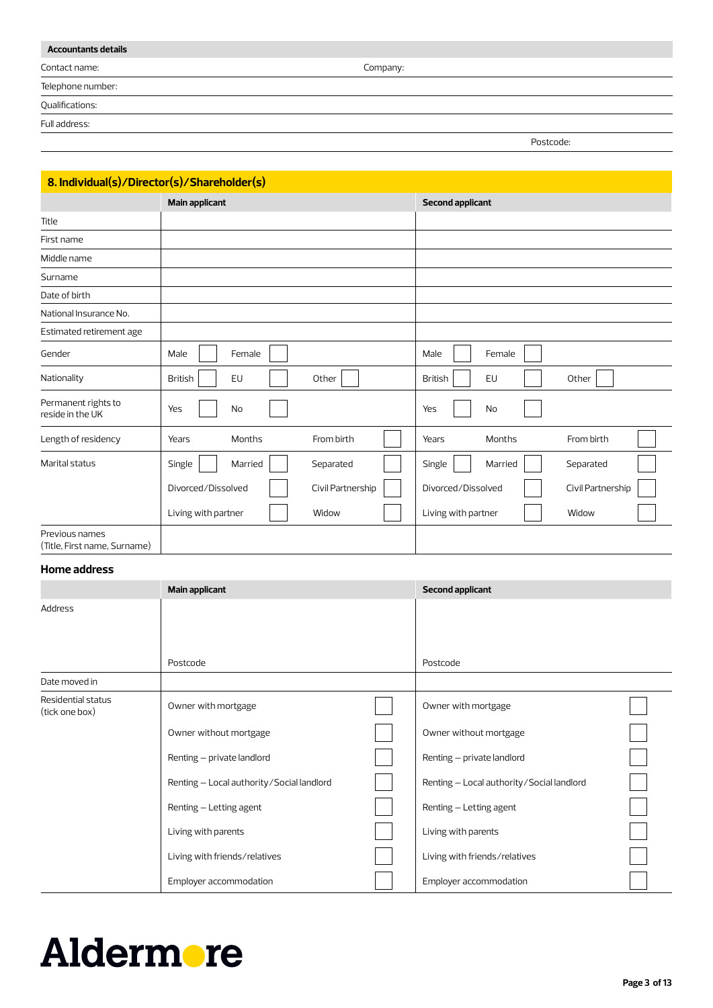| <b>Accountants details</b> |          |           |
|----------------------------|----------|-----------|
| Contact name:              | Company: |           |
| Telephone number:          |          |           |
| Qualifications:            |          |           |
| Full address:              |          |           |
|                            |          | Postcode: |

| 8. Individual(s)/Director(s)/Shareholder(s)    |                       |                   |                         |                   |
|------------------------------------------------|-----------------------|-------------------|-------------------------|-------------------|
|                                                | <b>Main applicant</b> |                   | <b>Second applicant</b> |                   |
| Title                                          |                       |                   |                         |                   |
| First name                                     |                       |                   |                         |                   |
| Middle name                                    |                       |                   |                         |                   |
| Surname                                        |                       |                   |                         |                   |
| Date of birth                                  |                       |                   |                         |                   |
| National Insurance No.                         |                       |                   |                         |                   |
| Estimated retirement age                       |                       |                   |                         |                   |
| Gender                                         | Female<br>Male        |                   | Female<br>Male          |                   |
| Nationality                                    | EU<br><b>British</b>  | Other             | EU<br><b>British</b>    | Other             |
| Permanent rights to<br>reside in the UK        | No<br>Yes             |                   | No<br>Yes               |                   |
| Length of residency                            | Months<br>Years       | From birth        | Months<br>Years         | From birth        |
| Marital status                                 | Single<br>Married     | Separated         | Single<br>Married       | Separated         |
|                                                | Divorced/Dissolved    | Civil Partnership | Divorced/Dissolved      | Civil Partnership |
|                                                | Living with partner   | Widow             | Living with partner     | Widow             |
| Previous names<br>(Title, First name, Surname) |                       |                   |                         |                   |

# **Home address**

|                                      | Main applicant                            | Second applicant                          |  |
|--------------------------------------|-------------------------------------------|-------------------------------------------|--|
| Address                              |                                           |                                           |  |
|                                      |                                           |                                           |  |
|                                      |                                           |                                           |  |
|                                      | Postcode                                  | Postcode                                  |  |
| Date moved in                        |                                           |                                           |  |
| Residential status<br>(tick one box) | Owner with mortgage                       | Owner with mortgage                       |  |
|                                      | Owner without mortgage                    | Owner without mortgage                    |  |
|                                      | Renting - private landlord                | Renting - private landlord                |  |
|                                      | Renting - Local authority/Social landlord | Renting - Local authority/Social landlord |  |
|                                      | Renting - Letting agent                   | Renting - Letting agent                   |  |
|                                      | Living with parents                       | Living with parents                       |  |
|                                      | Living with friends/relatives             | Living with friends/relatives             |  |
|                                      | Employer accommodation                    | Employer accommodation                    |  |

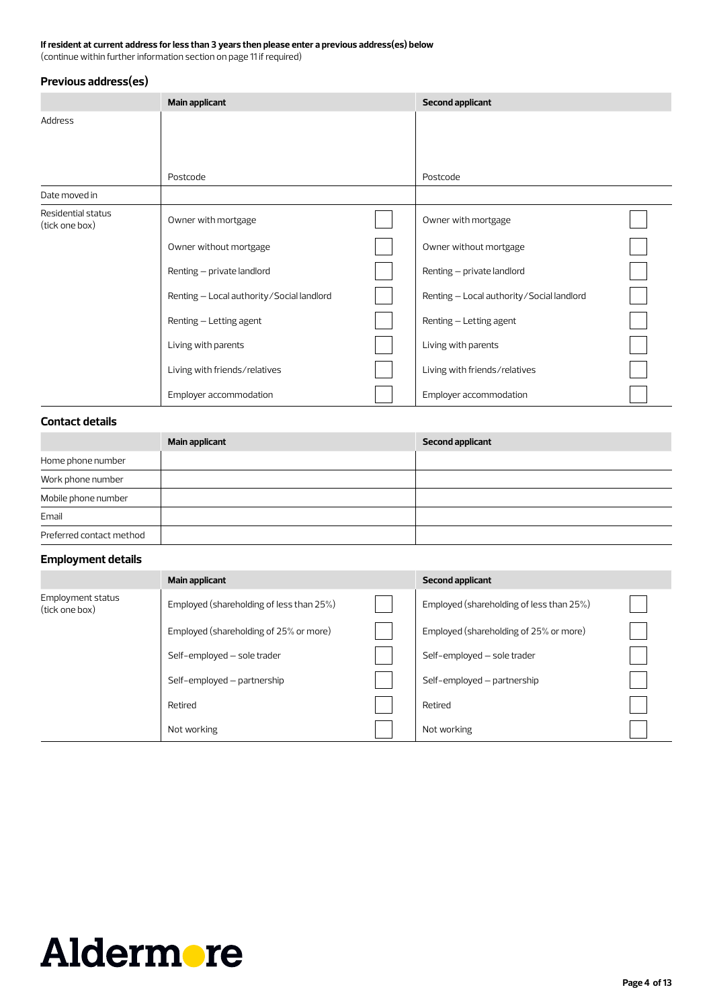# **If resident at current address for less than 3 years then please enter a previous address(es) below**

(continue within further information section on page 11 if required)

# **Previous address(es)**

|                                      | <b>Main applicant</b>                     | <b>Second applicant</b>                   |  |
|--------------------------------------|-------------------------------------------|-------------------------------------------|--|
| Address                              |                                           |                                           |  |
|                                      |                                           |                                           |  |
|                                      |                                           |                                           |  |
|                                      | Postcode                                  | Postcode                                  |  |
| Date moved in                        |                                           |                                           |  |
| Residential status<br>(tick one box) | Owner with mortgage                       | Owner with mortgage                       |  |
|                                      | Owner without mortgage                    | Owner without mortgage                    |  |
|                                      | Renting - private landlord                | Renting - private landlord                |  |
|                                      | Renting - Local authority/Social landlord | Renting - Local authority/Social landlord |  |
|                                      | Renting - Letting agent                   | Renting - Letting agent                   |  |
|                                      | Living with parents                       | Living with parents                       |  |
|                                      | Living with friends/relatives             | Living with friends/relatives             |  |
|                                      | Employer accommodation                    | Employer accommodation                    |  |

# **Contact details**

|                          | <b>Main applicant</b> | <b>Second applicant</b> |
|--------------------------|-----------------------|-------------------------|
| Home phone number        |                       |                         |
| Work phone number        |                       |                         |
| Mobile phone number      |                       |                         |
| Email                    |                       |                         |
| Preferred contact method |                       |                         |

# **Employment details**

|                                     | Main applicant                           | <b>Second applicant</b>                  |  |
|-------------------------------------|------------------------------------------|------------------------------------------|--|
| Employment status<br>(tick one box) | Employed (shareholding of less than 25%) | Employed (shareholding of less than 25%) |  |
|                                     | Employed (shareholding of 25% or more)   | Employed (shareholding of 25% or more)   |  |
|                                     | Self-employed - sole trader              | Self-employed - sole trader              |  |
|                                     | Self-employed - partnership              | Self-employed - partnership              |  |
|                                     | Retired                                  | Retired                                  |  |
|                                     | Not working                              | Not working                              |  |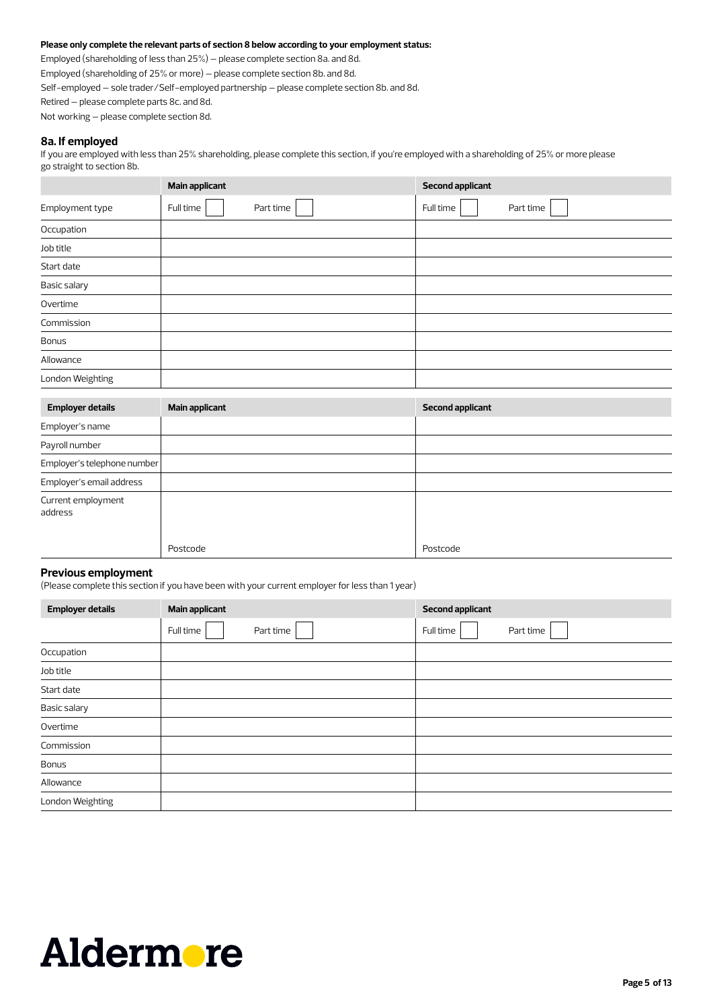### **Please only complete the relevant parts of section 8 below according to your employment status:**

Employed (shareholding of less than 25%) – please complete section 8a. and 8d. Employed (shareholding of 25% or more) – please complete section 8b. and 8d. Self-employed – sole trader/Self-employed partnership – please complete section 8b. and 8d. Retired – please complete parts 8c. and 8d. Not working – please complete section 8d.

### **8a. If employed**

If you are employed with less than 25% shareholding, please complete this section, if you're employed with a shareholding of 25% or more please go straight to section 8b.

|                  | <b>Main applicant</b>  | <b>Second applicant</b> |
|------------------|------------------------|-------------------------|
| Employment type  | Part time<br>Full time | Full time<br>Part time  |
| Occupation       |                        |                         |
| Job title        |                        |                         |
| Start date       |                        |                         |
| Basic salary     |                        |                         |
| Overtime         |                        |                         |
| Commission       |                        |                         |
| <b>Bonus</b>     |                        |                         |
| Allowance        |                        |                         |
| London Weighting |                        |                         |

| <b>Employer details</b>       | <b>Main applicant</b> | <b>Second applicant</b> |
|-------------------------------|-----------------------|-------------------------|
| Employer's name               |                       |                         |
| Payroll number                |                       |                         |
| Employer's telephone number   |                       |                         |
| Employer's email address      |                       |                         |
| Current employment<br>address |                       |                         |
|                               | Postcode              | Postcode                |

### **Previous employment**

(Please complete this section if you have been with your current employer for less than 1 year)

| <b>Employer details</b> | <b>Main applicant</b>  | <b>Second applicant</b> |  |  |
|-------------------------|------------------------|-------------------------|--|--|
|                         | Full time<br>Part time | Full time<br>Part time  |  |  |
| Occupation              |                        |                         |  |  |
| Job title               |                        |                         |  |  |
| Start date              |                        |                         |  |  |
| Basic salary            |                        |                         |  |  |
| Overtime                |                        |                         |  |  |
| Commission              |                        |                         |  |  |
| <b>Bonus</b>            |                        |                         |  |  |
| Allowance               |                        |                         |  |  |
| London Weighting        |                        |                         |  |  |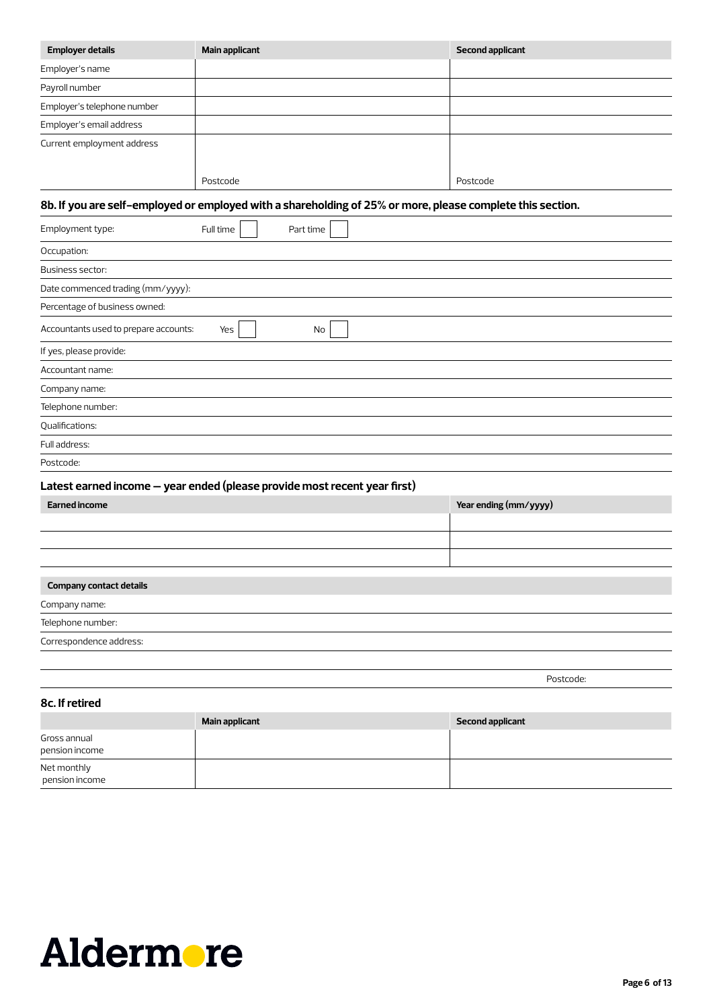| <b>Employer details</b>     | Main applicant | <b>Second applicant</b> |
|-----------------------------|----------------|-------------------------|
| Employer's name             |                |                         |
| Payroll number              |                |                         |
| Employer's telephone number |                |                         |
| Employer's email address    |                |                         |
| Current employment address  | Postcode       | Postcode                |

# **8b. If you are self-employed or employed with a shareholding of 25% or more, please complete this section.**

| Employment type:                      | Full time | Part time |
|---------------------------------------|-----------|-----------|
| Occupation:                           |           |           |
| Business sector:                      |           |           |
| Date commenced trading (mm/yyyy):     |           |           |
| Percentage of business owned:         |           |           |
| Accountants used to prepare accounts: | Yes       | No        |
| If yes, please provide:               |           |           |
| Accountant name:                      |           |           |
| Company name:                         |           |           |
| Telephone number:                     |           |           |
| Qualifications:                       |           |           |
| Full address:                         |           |           |
| Postcode:                             |           |           |

# **Latest earned income – year ended (please provide most recent year first)**

| <b>Earned income</b>           | Year ending (mm/yyyy) |
|--------------------------------|-----------------------|
|                                |                       |
|                                |                       |
|                                |                       |
|                                |                       |
| <b>Company contact details</b> |                       |
| Company name:                  |                       |
| Telephone number:              |                       |
|                                |                       |

Correspondence address:

Postcode: https://www.archive.org/water.com/2010/2010/2010/2010

| 8c. If retired                 |                       |                         |  |  |  |
|--------------------------------|-----------------------|-------------------------|--|--|--|
|                                | <b>Main applicant</b> | <b>Second applicant</b> |  |  |  |
| Gross annual<br>pension income |                       |                         |  |  |  |
| Net monthly<br>pension income  |                       |                         |  |  |  |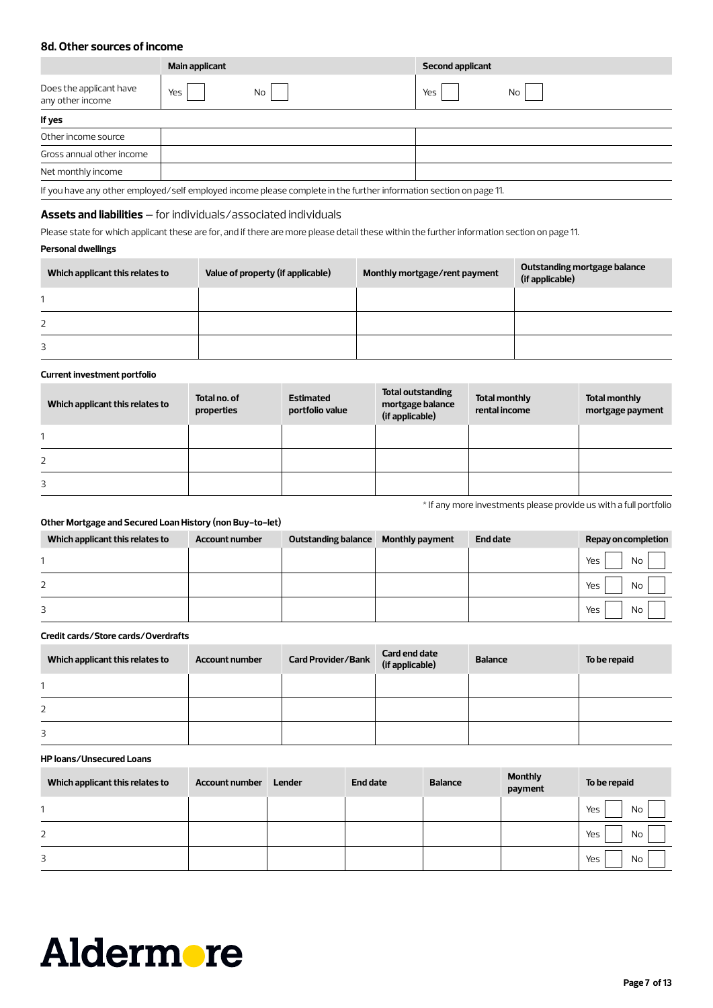# **8d. Other sources of income**

|                                                                                                                    | Main applicant | <b>Second applicant</b> |  |  |  |  |
|--------------------------------------------------------------------------------------------------------------------|----------------|-------------------------|--|--|--|--|
| Does the applicant have<br>any other income                                                                        | Yes<br>No      | Yes<br>No               |  |  |  |  |
| If yes                                                                                                             |                |                         |  |  |  |  |
| Other income source                                                                                                |                |                         |  |  |  |  |
| Gross annual other income                                                                                          |                |                         |  |  |  |  |
| Net monthly income                                                                                                 |                |                         |  |  |  |  |
| If you have any other employed/self employed income please complete in the further information section on page 11. |                |                         |  |  |  |  |

# **Assets and liabilities** – for individuals/associated individuals

Please state for which applicant these are for, and if there are more please detail these within the further information section on page 11.

### **Personal dwellings**

| Which applicant this relates to | Value of property (if applicable) | Monthly mortgage/rent payment | Outstanding mortgage balance<br>(if applicable) |
|---------------------------------|-----------------------------------|-------------------------------|-------------------------------------------------|
|                                 |                                   |                               |                                                 |
| 2                               |                                   |                               |                                                 |
| 3                               |                                   |                               |                                                 |

### **Current investment portfolio**

| Which applicant this relates to | Total no, of<br>properties | <b>Estimated</b><br>portfolio value | Total outstanding<br>mortgage balance<br>(if applicable) | <b>Total monthly</b><br>rental income | <b>Total monthly</b><br>mortgage payment |
|---------------------------------|----------------------------|-------------------------------------|----------------------------------------------------------|---------------------------------------|------------------------------------------|
|                                 |                            |                                     |                                                          |                                       |                                          |
| 2                               |                            |                                     |                                                          |                                       |                                          |
| 3                               |                            |                                     |                                                          |                                       |                                          |

\* If any more investments please provide us with a full portfolio

## **Other Mortgage and Secured Loan History (non Buy-to-let)**

| Which applicant this relates to | <b>Account number</b> | Outstanding balance Monthly payment | <b>End date</b> | Repay on completion |
|---------------------------------|-----------------------|-------------------------------------|-----------------|---------------------|
|                                 |                       |                                     |                 | No<br>Yes           |
| 2                               |                       |                                     |                 | Yes<br>No           |
| 3                               |                       |                                     |                 | <b>No</b><br>Yes    |

### **Credit cards/Store cards/Overdrafts**

| Which applicant this relates to | <b>Account number</b> | Card Provider/Bank Card end date<br>(if applicable) | <b>Balance</b> | To be repaid |
|---------------------------------|-----------------------|-----------------------------------------------------|----------------|--------------|
|                                 |                       |                                                     |                |              |
| 2                               |                       |                                                     |                |              |
| 3                               |                       |                                                     |                |              |

### **HP loans/Unsecured Loans**

| Which applicant this relates to | <b>Account number</b> | <b>Lender</b> | End date | <b>Balance</b> | <b>Monthly</b><br>payment | To be repaid     |
|---------------------------------|-----------------------|---------------|----------|----------------|---------------------------|------------------|
|                                 |                       |               |          |                |                           | Yes<br><b>No</b> |
| 2                               |                       |               |          |                |                           | Yes<br><b>No</b> |
| 3                               |                       |               |          |                |                           | Yes<br>No        |

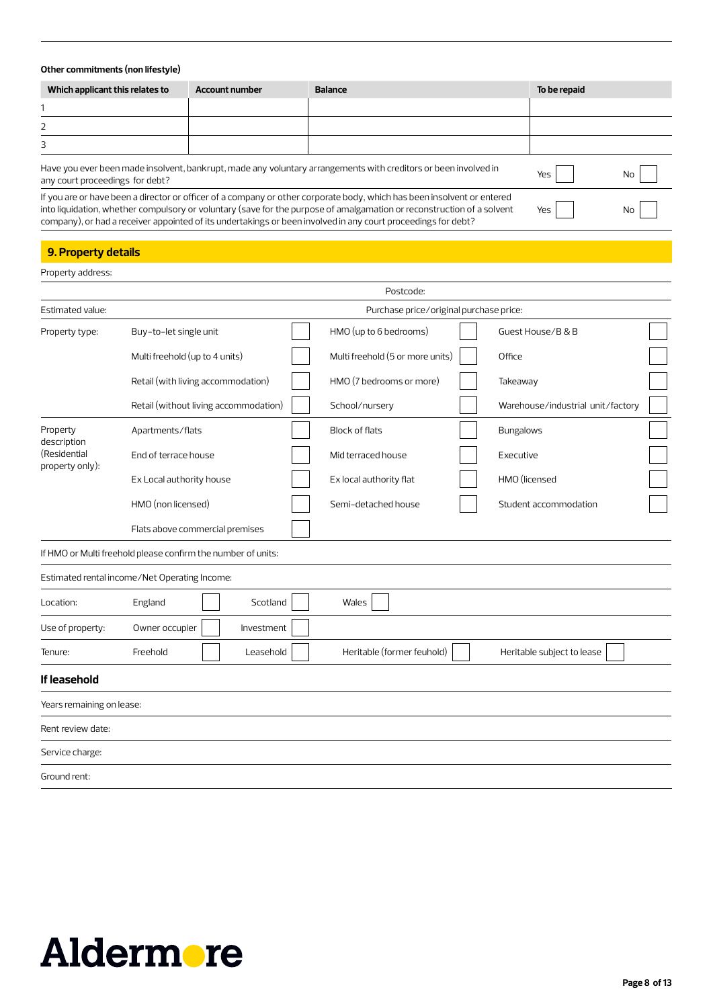### **Other commitments (non lifestyle)**

| Which applicant this relates to | <b>Account number</b> | <b>Balance</b>                                                                                                  | To be repaid |           |
|---------------------------------|-----------------------|-----------------------------------------------------------------------------------------------------------------|--------------|-----------|
|                                 |                       |                                                                                                                 |              |           |
|                                 |                       |                                                                                                                 |              |           |
|                                 |                       |                                                                                                                 |              |           |
| any court proceedings for debt? |                       | Have you ever been made insolvent, bankrupt, made any voluntary arrangements with creditors or been involved in | Yes          | <b>No</b> |

If you are or have been a director or officer of a company or other corporate body, which has been insolvent or entered

into liquidation, whether compulsory or voluntary (save for the purpose of amalgamation or reconstruction of a solvent company), or had a receiver appointed of its undertakings or been involved in any court proceedings for debt?

Yes No

# **9. Property details**

| Property address:               |                                                              |                                         |                                   |
|---------------------------------|--------------------------------------------------------------|-----------------------------------------|-----------------------------------|
|                                 |                                                              | Postcode:                               |                                   |
| Estimated value:                |                                                              | Purchase price/original purchase price: |                                   |
| Property type:                  | Buy-to-let single unit                                       | HMO (up to 6 bedrooms)                  | Guest House/B & B                 |
|                                 | Multi freehold (up to 4 units)                               | Multi freehold (5 or more units)        | Office                            |
|                                 | Retail (with living accommodation)                           | HMO (7 bedrooms or more)                | Takeaway                          |
|                                 | Retail (without living accommodation)                        | School/nursery                          | Warehouse/industrial unit/factory |
| Property<br>description         | Apartments/flats                                             | <b>Block of flats</b>                   | <b>Bungalows</b>                  |
| (Residential<br>property only): | End of terrace house                                         | Mid terraced house                      | Executive                         |
|                                 | Ex Local authority house                                     | Ex local authority flat                 | HMO (licensed                     |
|                                 | HMO (non licensed)                                           | Semi-detached house                     | Student accommodation             |
|                                 | Flats above commercial premises                              |                                         |                                   |
|                                 | If HMO or Multi freehold please confirm the number of units: |                                         |                                   |
|                                 | Estimated rental income/Net Operating Income:                |                                         |                                   |
| Location:                       | Scotland<br>England                                          | Wales                                   |                                   |
| Use of property:                | Owner occupier<br>Investment                                 |                                         |                                   |
| Tenure:                         | Freehold<br>Leasehold                                        | Heritable (former feuhold)              | Heritable subject to lease        |
| If leasehold                    |                                                              |                                         |                                   |
| Years remaining on lease:       |                                                              |                                         |                                   |
| Rent review date:               |                                                              |                                         |                                   |
| Service charge:                 |                                                              |                                         |                                   |
| Ground rent:                    |                                                              |                                         |                                   |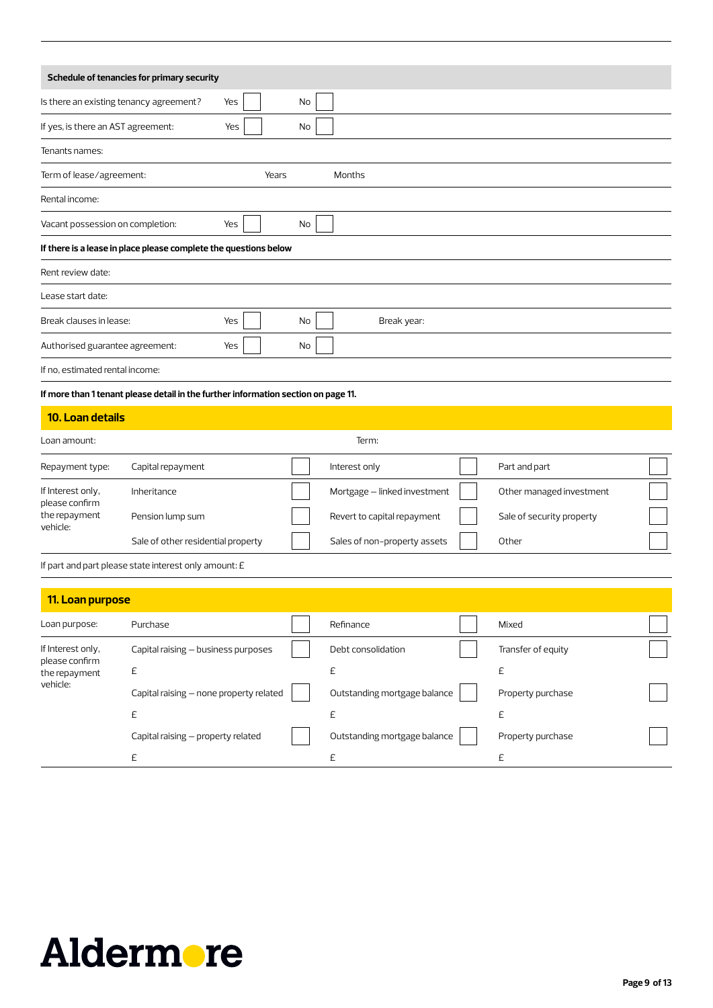|                                                                  | Schedule of tenancies for primary security                                                                       |     |       |                              |                           |  |
|------------------------------------------------------------------|------------------------------------------------------------------------------------------------------------------|-----|-------|------------------------------|---------------------------|--|
| Is there an existing tenancy agreement?                          |                                                                                                                  | Yes | No    |                              |                           |  |
| If yes, is there an AST agreement:                               |                                                                                                                  | Yes | No    |                              |                           |  |
| Tenants names:                                                   |                                                                                                                  |     |       |                              |                           |  |
| Term of lease/agreement:                                         |                                                                                                                  |     | Years | Months                       |                           |  |
| Rental income:                                                   |                                                                                                                  |     |       |                              |                           |  |
| Vacant possession on completion:                                 |                                                                                                                  | Yes | No    |                              |                           |  |
|                                                                  | If there is a lease in place please complete the questions below                                                 |     |       |                              |                           |  |
| Rent review date:                                                |                                                                                                                  |     |       |                              |                           |  |
| Lease start date:                                                |                                                                                                                  |     |       |                              |                           |  |
| Break clauses in lease:                                          |                                                                                                                  | Yes | No    | Break year:                  |                           |  |
| Authorised guarantee agreement:                                  |                                                                                                                  | Yes | No    |                              |                           |  |
| If no, estimated rental income:                                  |                                                                                                                  |     |       |                              |                           |  |
|                                                                  | If more than 1 tenant please detail in the further information section on page 11.                               |     |       |                              |                           |  |
| 10. Loan details                                                 |                                                                                                                  |     |       |                              |                           |  |
| Loan amount:                                                     |                                                                                                                  |     |       | Term:                        |                           |  |
| Repayment type:                                                  | Capital repayment                                                                                                |     |       | Interest only                | Part and part             |  |
| If Interest only,                                                | Inheritance                                                                                                      |     |       | Mortgage - linked investment | Other managed investment  |  |
| please confirm<br>the repayment                                  | Pension lump sum                                                                                                 |     |       | Revert to capital repayment  | Sale of security property |  |
| vehicle:                                                         | Sale of other residential property                                                                               |     |       | Sales of non-property assets | Other                     |  |
|                                                                  | If part and part please state interest only amount: E                                                            |     |       |                              |                           |  |
|                                                                  |                                                                                                                  |     |       |                              |                           |  |
| 11. Loan purpose                                                 |                                                                                                                  |     |       |                              |                           |  |
| Loan purpose:                                                    | Purchase                                                                                                         |     |       | Refinance                    | Mixed                     |  |
| If Interest only,<br>please confirm<br>the repayment<br>vehicle: | Capital raising - business purposes                                                                              |     |       | Debt consolidation           | Transfer of equity        |  |
|                                                                  | $\mathsf{E}% _{\mathcal{A}}^{\mathcal{A}}(\mathcal{A})\equiv\mathsf{E}_{\mathcal{A}}^{\mathcal{A}}(\mathcal{A})$ |     |       | $\mathsf{E}% _{0}$           | $\mathsf{E}% _{0}$        |  |
|                                                                  | Capital raising - none property related                                                                          |     |       | Outstanding mortgage balance | Property purchase         |  |
|                                                                  | $\mathsf{E}% _{\mathcal{A}}^{\mathcal{A}}(\mathcal{A})\equiv\mathsf{E}_{\mathcal{A}}^{\mathcal{A}}(\mathcal{A})$ |     |       | £                            | £                         |  |
|                                                                  | Capital raising - property related                                                                               |     |       | Outstanding mortgage balance | Property purchase         |  |
|                                                                  | $\mathsf{E}% _{\mathcal{A}}^{\mathcal{A}}(\mathcal{A})\equiv\mathsf{E}_{\mathcal{A}}^{\mathcal{A}}(\mathcal{A})$ |     |       | $\mathsf{E}% _{0}$           | £                         |  |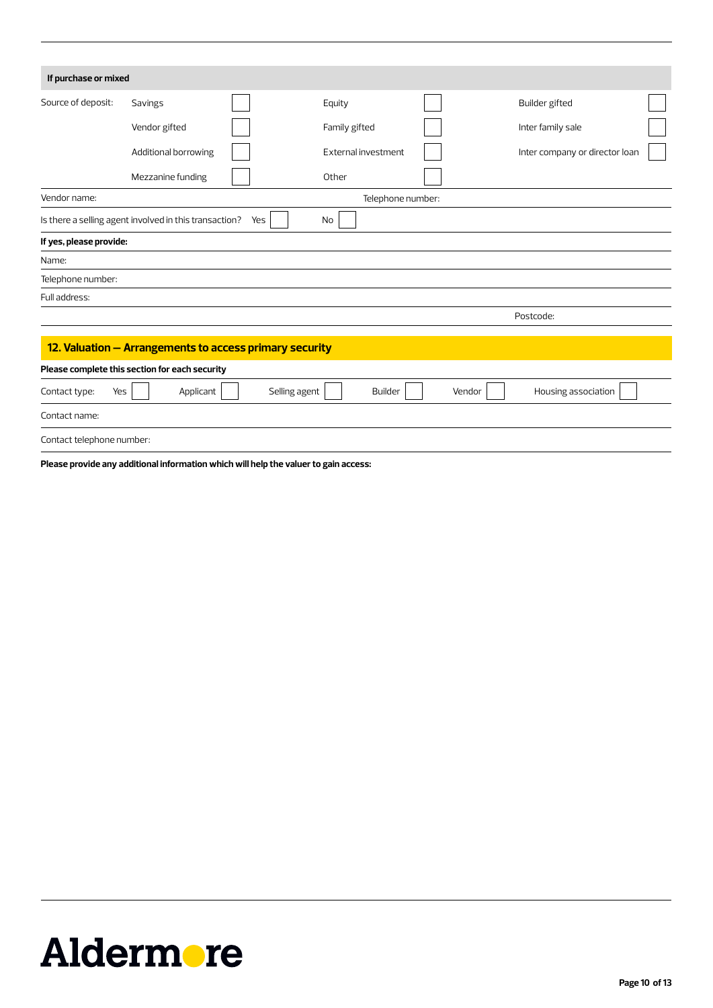| If purchase or mixed      |                                                         |               |                     |        |                                |  |
|---------------------------|---------------------------------------------------------|---------------|---------------------|--------|--------------------------------|--|
| Source of deposit:        | Savings                                                 |               | Equity              |        | Builder gifted                 |  |
|                           | Vendor gifted                                           |               | Family gifted       |        | Inter family sale              |  |
|                           | Additional borrowing                                    |               | External investment |        | Inter company or director loan |  |
|                           | Mezzanine funding                                       |               | Other               |        |                                |  |
| Vendor name:              |                                                         |               | Telephone number:   |        |                                |  |
|                           | Is there a selling agent involved in this transaction?  | Yes           | No                  |        |                                |  |
| If yes, please provide:   |                                                         |               |                     |        |                                |  |
| Name:                     |                                                         |               |                     |        |                                |  |
| Telephone number:         |                                                         |               |                     |        |                                |  |
| Full address:             |                                                         |               |                     |        |                                |  |
|                           |                                                         |               |                     |        | Postcode:                      |  |
|                           | 12. Valuation - Arrangements to access primary security |               |                     |        |                                |  |
|                           | Please complete this section for each security          |               |                     |        |                                |  |
| Yes<br>Contact type:      | Applicant                                               | Selling agent | <b>Builder</b>      | Vendor | Housing association            |  |
| Contact name:             |                                                         |               |                     |        |                                |  |
| Contact telephone number: |                                                         |               |                     |        |                                |  |

**Please provide any additional information which will help the valuer to gain access:**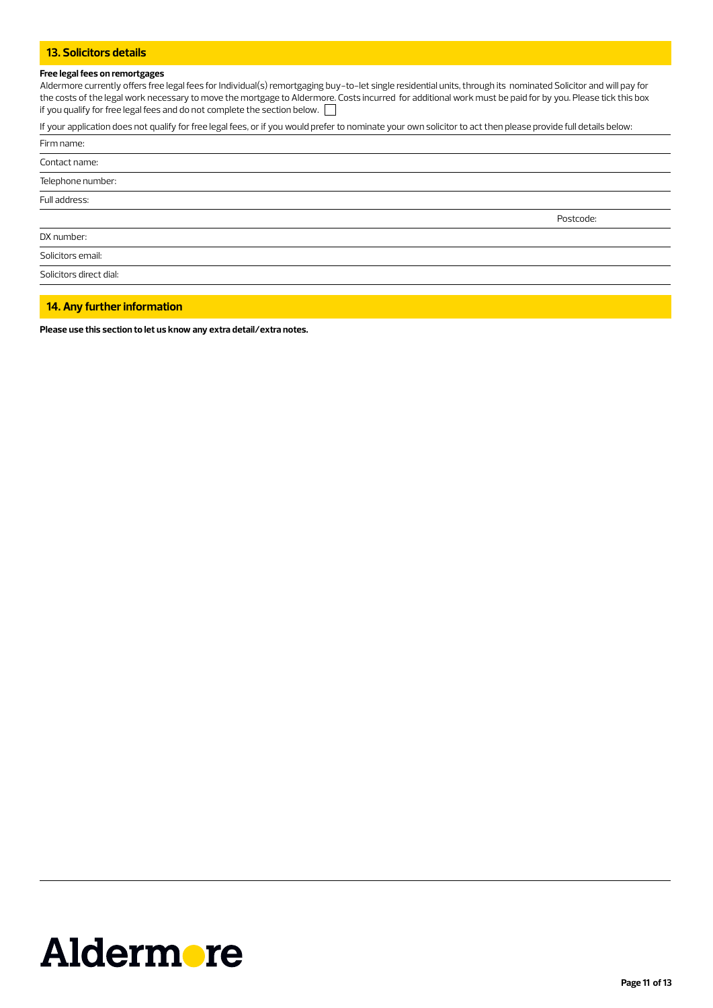## **13. Solicitors details**

### **Free legal fees on remortgages**

Aldermore currently offers free legal fees for Individual(s) remortgaging buy-to-let single residential units, through its nominated Solicitor and will pay for the costs of the legal work necessary to move the mortgage to Aldermore. Costs incurred for additional work must be paid for by you. Please tick this box if you qualify for free legal fees and do not complete the section below.

If your application does not qualify for free legal fees, or if you would prefer to nominate your own solicitor to act then please provide full details below:

| Firm name:              |           |
|-------------------------|-----------|
| Contact name:           |           |
| Telephone number:       |           |
| Full address:           |           |
|                         | Postcode: |
| DX number:              |           |
| Solicitors email:       |           |
| Solicitors direct dial: |           |
|                         |           |

### **14. Any further information**

**Please use this section to let us know any extra detail/extra notes.**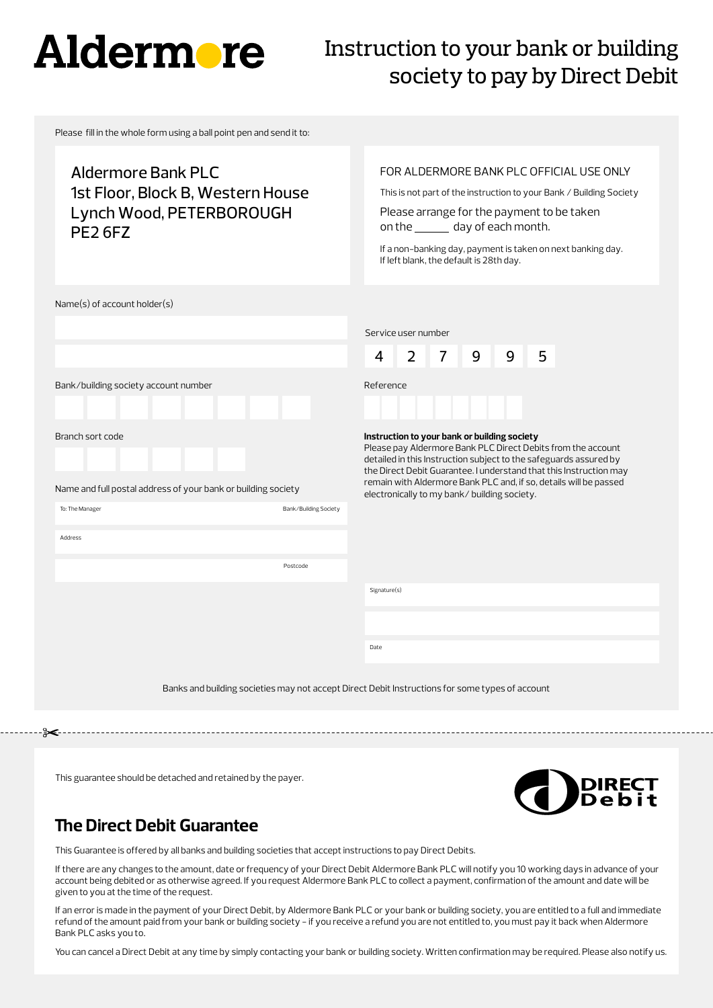# **Aldermore**

# Instruction to your bank or building society to pay by Direct Debit

Please fill in the whole form using a ball point pen and send it to:

Aldermore Bank PLC 1st Floor, Block B, Western House Lynch Wood, PETERBOROUGH PE2 6FZ

# FOR ALDERMORE BANK PLC OFFICIAL USE ONLY

This is not part of the instruction to your Bank / Building Society

Please arrange for the payment to be taken on the \_\_\_\_\_\_ day of each month.

If a non-banking day, payment is taken on next banking day. If left blank, the default is 28th day.

Name(s) of account holder(s)

|                                                                                                                               |                                                                                                 | Service user number                                                                                                                                                                                                                                                                                                                                                         |                |                |   |   |   |  |  |  |
|-------------------------------------------------------------------------------------------------------------------------------|-------------------------------------------------------------------------------------------------|-----------------------------------------------------------------------------------------------------------------------------------------------------------------------------------------------------------------------------------------------------------------------------------------------------------------------------------------------------------------------------|----------------|----------------|---|---|---|--|--|--|
|                                                                                                                               |                                                                                                 | 4                                                                                                                                                                                                                                                                                                                                                                           | $\overline{2}$ | $\overline{7}$ | 9 | 9 | 5 |  |  |  |
| Bank/building society account number                                                                                          |                                                                                                 | Reference                                                                                                                                                                                                                                                                                                                                                                   |                |                |   |   |   |  |  |  |
| Branch sort code<br>Name and full postal address of your bank or building society<br>Bank/Building Society<br>To: The Manager |                                                                                                 | Instruction to your bank or building society<br>Please pay Aldermore Bank PLC Direct Debits from the account<br>detailed in this Instruction subject to the safeguards assured by<br>the Direct Debit Guarantee. I understand that this Instruction may<br>remain with Aldermore Bank PLC and, if so, details will be passed<br>electronically to my bank/building society. |                |                |   |   |   |  |  |  |
| Address                                                                                                                       |                                                                                                 |                                                                                                                                                                                                                                                                                                                                                                             |                |                |   |   |   |  |  |  |
|                                                                                                                               | Postcode                                                                                        |                                                                                                                                                                                                                                                                                                                                                                             |                |                |   |   |   |  |  |  |
|                                                                                                                               |                                                                                                 | Signature(s)                                                                                                                                                                                                                                                                                                                                                                |                |                |   |   |   |  |  |  |
|                                                                                                                               |                                                                                                 |                                                                                                                                                                                                                                                                                                                                                                             |                |                |   |   |   |  |  |  |
|                                                                                                                               |                                                                                                 | Date                                                                                                                                                                                                                                                                                                                                                                        |                |                |   |   |   |  |  |  |
|                                                                                                                               | Banks and building societies may not accept Direct Debit Instructions for some types of account |                                                                                                                                                                                                                                                                                                                                                                             |                |                |   |   |   |  |  |  |

This guarantee should be detached and retained by the payer.



# **The Direct Debit Guarantee**

This Guarantee is offered by all banks and building societies that accept instructions to pay Direct Debits.

If there are any changes to the amount, date or frequency of your Direct Debit Aldermore Bank PLC will notify you 10 working days in advance of your account being debited or as otherwise agreed. If you request Aldermore Bank PLC to collect a payment, confirmation of the amount and date will be given to you at the time of the request.

If an error is made in the payment of your Direct Debit, by Aldermore Bank PLC or your bank or building society, you are entitled to a full and immediate refund of the amount paid from your bank or building society - if you receive a refund you are not entitled to, you must pay it back when Aldermore Bank PLC asks you to.

You can cancel a Direct Debit at any time by simply contacting your bank or building society. Written confirmation may be required. Please also notify us.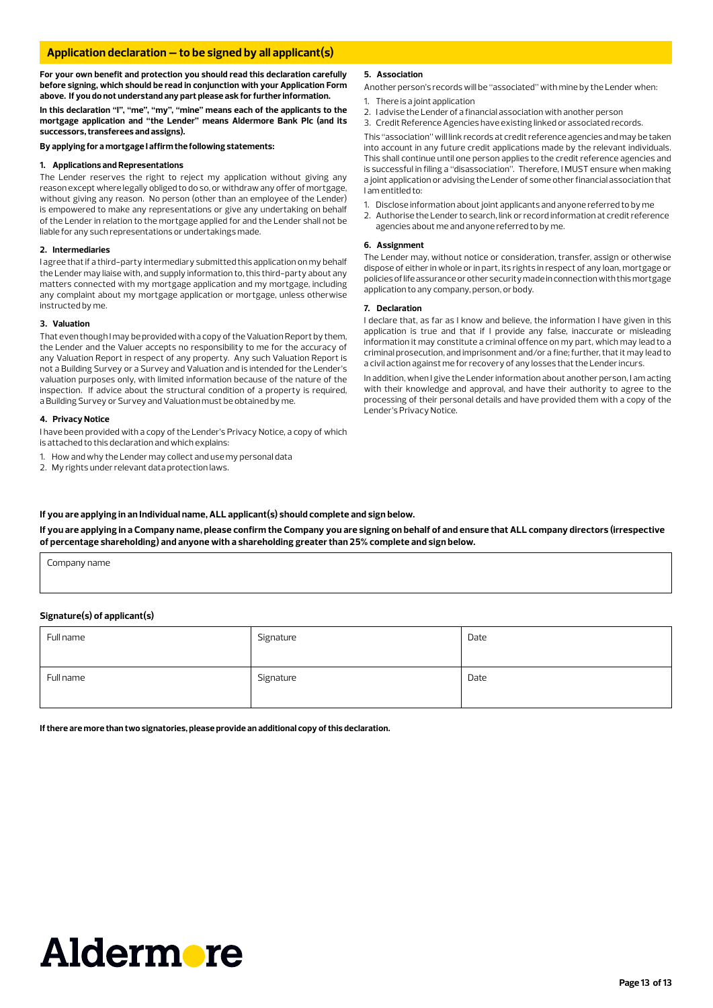### **Application declaration – to be signed by all applicant(s)**

**For your own benefit and protection you should read this declaration carefully before signing, which should be read in conjunction with your Application Form above. If you do not understand any part please ask for further information.**

**In this declaration "I", "me", "my", "mine" means each of the applicants to the mortgage application and "the Lender" means Aldermore Bank Plc (and its successors, transferees and assigns).**

**By applying for a mortgage I affirm the following statements:**

### **1. Applications and Representations**

The Lender reserves the right to reject my application without giving any reason except where legally obliged to do so, or withdraw any offer of mortgage, without giving any reason. No person (other than an employee of the Lender) is empowered to make any representations or give any undertaking on behalf of the Lender in relation to the mortgage applied for and the Lender shall not be liable for any such representations or undertakings made.

### **2. Intermediaries**

I agree that if a third-party intermediary submitted this application on my behalf the Lender may liaise with, and supply information to, this third-party about any matters connected with my mortgage application and my mortgage, including any complaint about my mortgage application or mortgage, unless otherwise instructed by me.

### **3. Valuation**

That even though I may be provided with a copy of the Valuation Report by them, the Lender and the Valuer accepts no responsibility to me for the accuracy of any Valuation Report in respect of any property. Any such Valuation Report is not a Building Survey or a Survey and Valuation and is intended for the Lender's valuation purposes only, with limited information because of the nature of the inspection. If advice about the structural condition of a property is required, a Building Survey or Survey and Valuation must be obtained by me.

### **4. Privacy Notice**

I have been provided with a copy of the Lender's Privacy Notice, a copy of which is attached to this declaration and which explains:

- How and why the Lender may collect and use my personal data
- 2. My rights under relevant data protection laws.

### **5. Association**

Another person's records will be "associated" with mine by the Lender when:

- 1. There is a joint application
- 2. I advise the Lender of a financial association with another person
- 3. Credit Reference Agencies have existing linked or associated records.

This "association" will link records at credit reference agencies and may be taken into account in any future credit applications made by the relevant individuals. This shall continue until one person applies to the credit reference agencies and is successful in filing a "disassociation". Therefore, I MUST ensure when making a joint application or advising the Lender of some other financial association that I am entitled to:

- 1. Disclose information about joint applicants and anyone referred to by me
- 2. Authorise the Lender to search, link or record information at credit reference agencies about me and anyone referred to by me.

### **6. Assignment**

The Lender may, without notice or consideration, transfer, assign or otherwise dispose of either in whole or in part, its rights in respect of any loan, mortgage or policies of life assurance or other security made in connection with this mortgage application to any company, person, or body.

### **7. Declaration**

I declare that, as far as I know and believe, the information I have given in this application is true and that if I provide any false, inaccurate or misleading information it may constitute a criminal offence on my part, which may lead to a criminal prosecution, and imprisonment and/or a fine; further, that it may lead to a civil action against me for recovery of any losses that the Lender incurs.

In addition, when I give the Lender information about another person, I am acting with their knowledge and approval, and have their authority to agree to the processing of their personal details and have provided them with a copy of the Lender's Privacy Notice.

### **If you are applying in an Individual name, ALL applicant(s) should complete and sign below.**

**If you are applying in a Company name, please confirm the Company you are signing on behalf of and ensure that ALL company directors (irrespective of percentage shareholding) and anyone with a shareholding greater than 25% complete and sign below.**

Company name

### **Signature(s) of applicant(s)**

| Full name | Signature | Date |
|-----------|-----------|------|
| Full name | Signature | Date |

**If there are more than two signatories, please provide an additional copy of this declaration.**